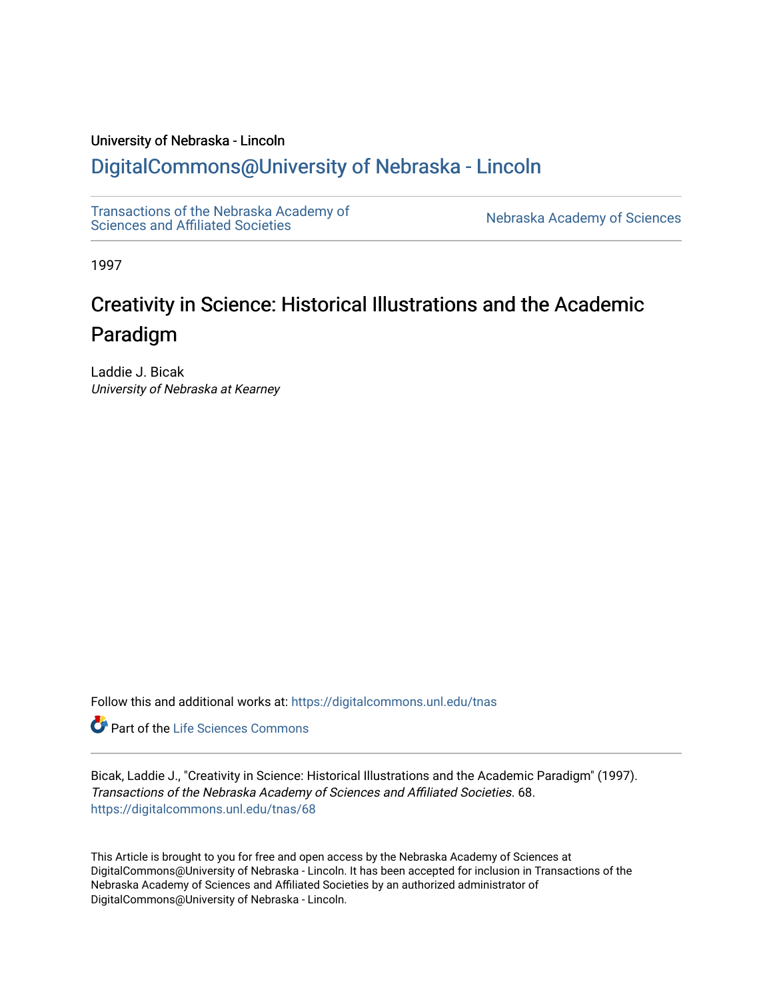## University of Nebraska - Lincoln [DigitalCommons@University of Nebraska - Lincoln](https://digitalcommons.unl.edu/)

[Transactions of the Nebraska Academy of](https://digitalcommons.unl.edu/tnas) 

Nebraska Academy of Sciences

1997

# Creativity in Science: Historical Illustrations and the Academic Paradigm

Laddie J. Bicak University of Nebraska at Kearney

Follow this and additional works at: [https://digitalcommons.unl.edu/tnas](https://digitalcommons.unl.edu/tnas?utm_source=digitalcommons.unl.edu%2Ftnas%2F68&utm_medium=PDF&utm_campaign=PDFCoverPages) 

**Part of the Life Sciences Commons** 

Bicak, Laddie J., "Creativity in Science: Historical Illustrations and the Academic Paradigm" (1997). Transactions of the Nebraska Academy of Sciences and Affiliated Societies. 68. [https://digitalcommons.unl.edu/tnas/68](https://digitalcommons.unl.edu/tnas/68?utm_source=digitalcommons.unl.edu%2Ftnas%2F68&utm_medium=PDF&utm_campaign=PDFCoverPages)

This Article is brought to you for free and open access by the Nebraska Academy of Sciences at DigitalCommons@University of Nebraska - Lincoln. It has been accepted for inclusion in Transactions of the Nebraska Academy of Sciences and Affiliated Societies by an authorized administrator of DigitalCommons@University of Nebraska - Lincoln.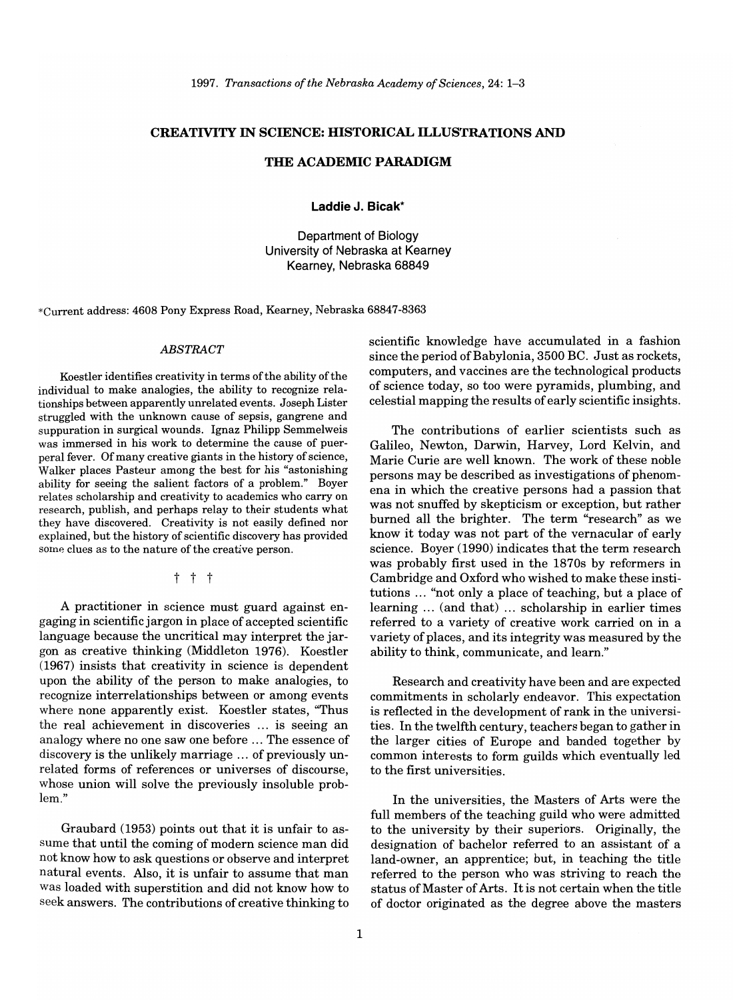*1997. Transactions of the Nebraska Academy of Sciences,* 24: 1-3

#### CREATIVITY IN SCIENCE: HISTORICAL ILLUSTRATIONS AND

### THE ACADEMIC PARADIGM

**Laddie** J. Bicak\*

Department of Biology University of Nebraska at Kearney Kearney, Nebraska 68849

\*Current address: 4608 Pony Express Road, Kearney, Nebraska 68847-8363

#### *ABSTRACT*

Koestler identifies creativity in terms of the ability of the individual to make analogies, the ability to recognize relationships between apparently unrelated events. Joseph Lister struggled with the unknown cause of sepsis, gangrene and suppuration in surgical wounds. Ignaz Philipp Semmelweis was immersed in his work to determine the cause of puerperal fever. Of many creative giants in the history of science, Walker places Pasteur among the best for his "astonishing ability for seeing the salient factors of a problem." Boyer relates scholarship and creativity to academics who carry on research, publish, and perhaps relay to their students what they have discovered. Creativity is not easily defined nor explained, but the history of scientific discovery has provided some clues as to the nature of the creative person.

### t t t

A practitioner in science must guard against engaging in scientific jargon in place of accepted scientific language because the uncritical may interpret the jargon as creative thinking (Middleton 1976). Koestler (1967) insists that creativity in science is dependent upon the ability of the person to make analogies, to recognize interrelationships between or among events where none apparently exist. Koestler states, "Thus the real achievement in discoveries ... is seeing an analogy where no one saw one before ... The essence of discovery is the unlikely marriage ... of previously unrelated forms of references or universes of discourse, whose union will solve the previously insoluble problem."

Graubard (1953) points out that it is unfair to assume that until the coming of modern science man did not know how to ask questions or observe and interpret natural events. Also, it is unfair to assume that man was loaded with superstition and did not know how to seek answers. The contributions of creative thinking to

scientific knowledge have accumulated in a fashion since the period of Babylonia, 3500 BC. Just as rockets, computers, and vaccines are the technological products of science today, so too were pyramids, plumbing, and celestial mapping the results of early scientific insights.

The contributions of earlier scientists such as Galileo, Newton, Darwin, Harvey, Lord Kelvin, and Marie Curie are well known. The work of these noble persons may be described as investigations of phenomena in which the creative persons had a passion that was not snuffed by skepticism or exception, but rather burned all the brighter. The term "research" as we know it today was not part of the vernacular of early science. Boyer (1990) indicates that the term research was probably first used in the 1870s by reformers in Cambridge and Oxford who wished to make these institutions ... "not only a place of teaching, but a place of learning ... (and that) ... scholarship in earlier times referred to a variety of creative work carried on in a variety of places , and its integrity was measured by the ability to think, communicate, and learn."

Research and creativity have been and are expected commitments in scholarly endeavor. This expectation is reflected in the development of rank in the universities. In the twelfth century, teachers began to gather in the larger cities of Europe and banded together by common interests to form guilds which eventually led to the first universities.

In the universities, the Masters of Arts were the full members of the teaching guild who were admitted to the university by their superiors. Originally, the designation of bachelor referred to an assistant of a land-owner, an apprentice; but, in teaching the title referred to the person who was striving to reach the status of Master of Arts. It is not certain when the title of doctor originated as the degree above the masters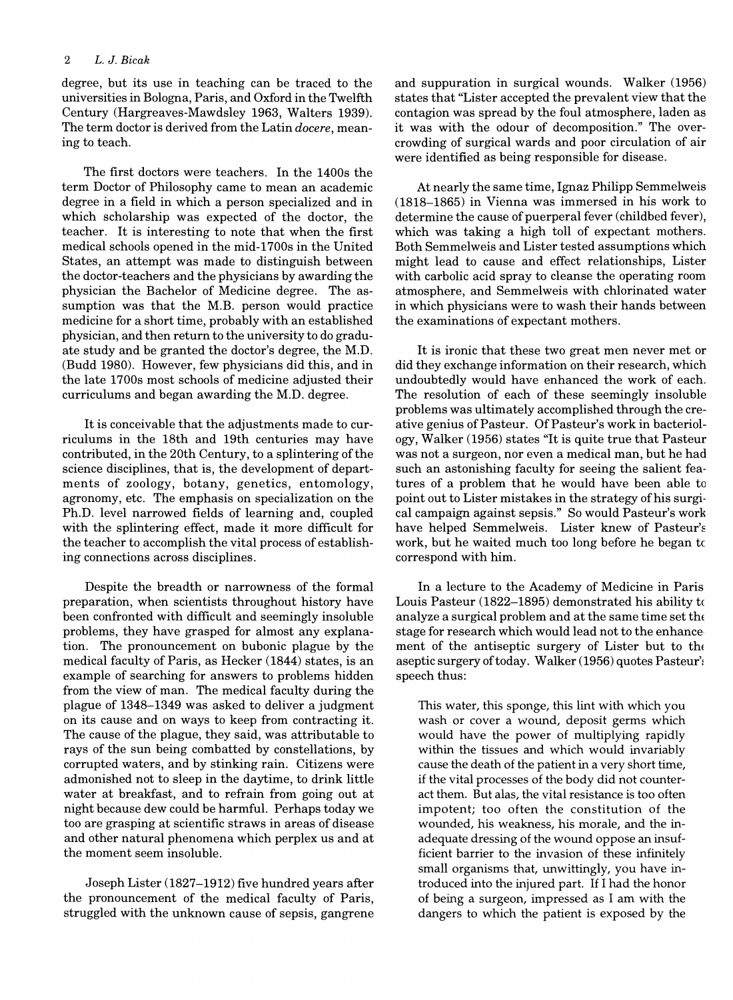degree, but its use in teaching can be traced to the universities in Bologna, Paris, and Oxford in the Twelfth Century (Hargreaves-Mawdsley 1963, Walters 1939). The term doctor is derived from the Latin *docere,* meaning to teach.

The first doctors were teachers. **In** the 1400s the term Doctor of Philosophy came to mean an academic degree in a field in which a person specialized and in which scholarship was expected of the doctor, the teacher. It is interesting to note that when the first medical schools opened in the mid-1700s in the United States, an attempt was made to distinguish between the doctor-teachers and the physicians by awarding the physician the Bachelor of Medicine degree. The assumption was that the M.B. person would practice medicine for a short time, probably with an established physician, and then return to the university to do graduate study and be granted the doctor's degree, the M.D. (Budd 1980). However, few physicians did this, and in the late 1700s most schools of medicine adjusted their curriculums and began awarding the M.D. degree.

It is conceivable that the adjustments made to curriculums in the 18th and 19th centuries may have contributed, in the 20th Century, to a splintering of the science disciplines, that is, the development of departments of zoology, botany, genetics, entomology, agronomy, etc. The emphasis on specialization on the Ph.D. level narrowed fields of learning and, coupled with the splintering effect, made it more difficult for the teacher to accomplish the vital process of establishing connections across disciplines.

Despite the breadth or narrowness of the formal preparation, when scientists throughout history have been confronted with difficult and seemingly insoluble problems, they have grasped for almost any explanation. The pronouncement on bubonic plague by the medical faculty of Paris, as Hecker (1844) states, is an example of searching for answers to problems hidden from the view of man. The medical faculty during the plague of 1348-1349 was asked to deliver a judgment on its cause and on ways to keep from contracting it. The cause of the plague, they said, was attributable to rays of the sun being combatted by constellations, by corrupted waters, and by stinking rain. Citizens were admonished not to sleep in the daytime, to drink little water at breakfast, and to refrain from going out at night because dew could be harmful. Perhaps today we too are grasping at scientific straws in areas of disease and other natural phenomena which perplex us and at the moment seem insoluble.

Joseph Lister (1827-1912) five hundred years after the pronouncement of the medical faculty of Paris, struggled with the unknown cause of sepsis, gangrene and suppuration in surgical wounds. Walker (1956) states that "Lister accepted the prevalent view that the contagion was spread by the foul atmosphere, laden as it was with the odour of decomposition." The overcrowding of surgical wards and poor circulation of air were identified as being responsible for disease.

At nearly the same time, Ignaz Philipp Semmelweis (1818-1865) in Vienna was immersed in his work to determine the cause of puerperal fever (childbed fever), which was taking a high toll of expectant mothers. Both Semmelweis and Lister tested assumptions which might lead to cause and effect relationships, Lister with carbolic acid spray to cleanse the operating room atmosphere, and Semmelweis with chlorinated water in which physicians were to wash their hands between the examinations of expectant mothers.

It is ironic that these two great men never met or did they exchange information on their research, which undoubtedly would have enhanced the work of each. The resolution of each of these seemingly insoluble problems was ultimately accomplished through the creative genius of Pasteur. Of Pasteur's work in bacteriology, Walker (1956) states "It is quite true that Pasteur was not a surgeon, nor even a medical man, but he had such an astonishing faculty for seeing the salient features of a problem that he would have been able to point out to Lister mistakes in the strategy of his surgical campaign against sepsis." So would Pasteur's work have helped Semmelweis. Lister knew of Pasteur's work, but he waited much too long before he began tc correspond with him.

**In** a lecture to the Academy of Medicine in Paris Louis Pasteur (1822-1895) demonstrated his ability tc analyze a surgical problem and at the same time set the stage for research which would lead not to the enhance ment of the antiseptic surgery of Lister but to the aseptic surgery of today. Walker  $(1956)$  quotes Pasteur's speech thus:

This water, this sponge, this lint with which you wash or cover a wound, deposit germs which would have the power of multiplying rapidly within the tissues and which would invariably cause the death of the patient in a very short time, if the vital processes of the body did not counteract them. But alas, the vital resistance is too often impotent; too often the constitution of the wounded, his weakness, his morale, and the inadequate dressing of the wound oppose an insufficient barrier to the invasion of these infinitely small organisms that, unwittingly, you have introduced into the injured part. If I had the honor of being a surgeon, impressed as I am with the dangers to which the patient is exposed by the